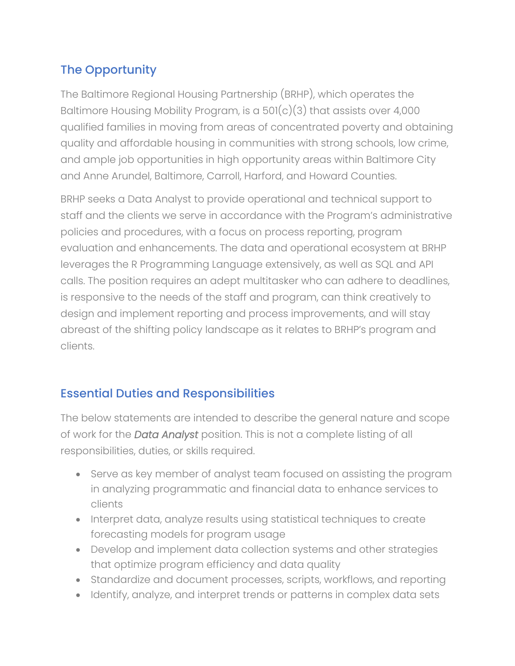# The Opportunity

The Baltimore Regional Housing Partnership (BRHP), which operates the Baltimore Housing Mobility Program, is a  $501(c)(3)$  that assists over 4,000 qualified families in moving from areas of concentrated poverty and obtaining quality and affordable housing in communities with strong schools, low crime, and ample job opportunities in high opportunity areas within Baltimore City and Anne Arundel, Baltimore, Carroll, Harford, and Howard Counties.

BRHP seeks a Data Analyst to provide operational and technical support to staff and the clients we serve in accordance with the Program's administrative policies and procedures, with a focus on process reporting, program evaluation and enhancements. The data and operational ecosystem at BRHP leverages the R Programming Language extensively, as well as SQL and API calls. The position requires an adept multitasker who can adhere to deadlines, is responsive to the needs of the staff and program, can think creatively to design and implement reporting and process improvements, and will stay abreast of the shifting policy landscape as it relates to BRHP's program and clients.

### Essential Duties and Responsibilities

The below statements are intended to describe the general nature and scope of work for the *Data Analyst* position. This is not a complete listing of all responsibilities, duties, or skills required.

- Serve as key member of analyst team focused on assisting the program in analyzing programmatic and financial data to enhance services to clients
- Interpret data, analyze results using statistical techniques to create forecasting models for program usage
- Develop and implement data collection systems and other strategies that optimize program efficiency and data quality
- Standardize and document processes, scripts, workflows, and reporting
- Identify, analyze, and interpret trends or patterns in complex data sets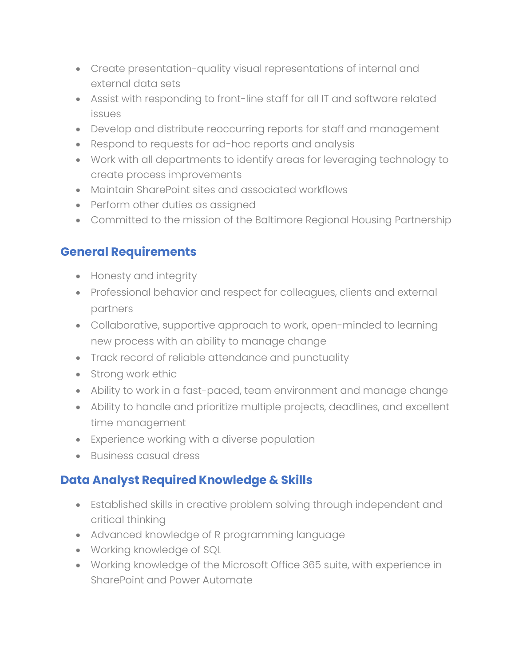- Create presentation-quality visual representations of internal and external data sets
- Assist with responding to front-line staff for all IT and software related issues
- Develop and distribute reoccurring reports for staff and management
- Respond to requests for ad-hoc reports and analysis
- Work with all departments to identify areas for leveraging technology to create process improvements
- Maintain SharePoint sites and associated workflows
- Perform other duties as assigned
- Committed to the mission of the Baltimore Regional Housing Partnership

#### **General Requirements**

- Honesty and integrity
- Professional behavior and respect for colleagues, clients and external partners
- Collaborative, supportive approach to work, open-minded to learning new process with an ability to manage change
- Track record of reliable attendance and punctuality
- Strong work ethic
- Ability to work in a fast-paced, team environment and manage change
- Ability to handle and prioritize multiple projects, deadlines, and excellent time management
- Experience working with a diverse population
- Business casual dress

### **Data Analyst Required Knowledge & Skills**

- Established skills in creative problem solving through independent and critical thinking
- Advanced knowledge of R programming language
- Working knowledge of SQL
- Working knowledge of the Microsoft Office 365 suite, with experience in SharePoint and Power Automate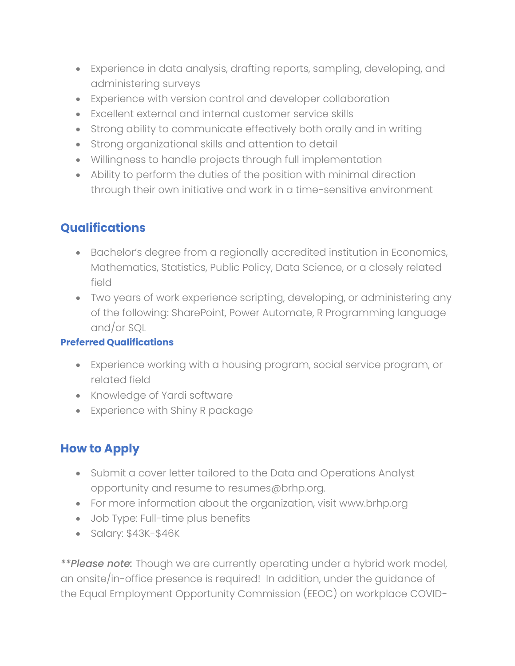- Experience in data analysis, drafting reports, sampling, developing, and administering surveys
- Experience with version control and developer collaboration
- Excellent external and internal customer service skills
- Strong ability to communicate effectively both orally and in writing
- Strong organizational skills and attention to detail
- Willingness to handle projects through full implementation
- Ability to perform the duties of the position with minimal direction through their own initiative and work in a time-sensitive environment

# **Qualifications**

- Bachelor's degree from a regionally accredited institution in Economics, Mathematics, Statistics, Public Policy, Data Science, or a closely related field
- Two years of work experience scripting, developing, or administering any of the following: SharePoint, Power Automate, R Programming language and/or SQL

#### **Preferred Qualifications**

- Experience working with a housing program, social service program, or related field
- Knowledge of Yardi software
- Experience with Shiny R package

## **How to Apply**

- Submit a cover letter tailored to the Data and Operations Analyst opportunity and resume to resumes@brhp.org.
- For more information about the organization, visit www.brhp.org
- Job Type: Full-time plus benefits
- Salary: \$43K-\$46K

*\*\*Please note:* Though we are currently operating under a hybrid work model, an onsite/in-office presence is required! In addition, under the guidance of the Equal Employment Opportunity Commission (EEOC) on workplace COVID-